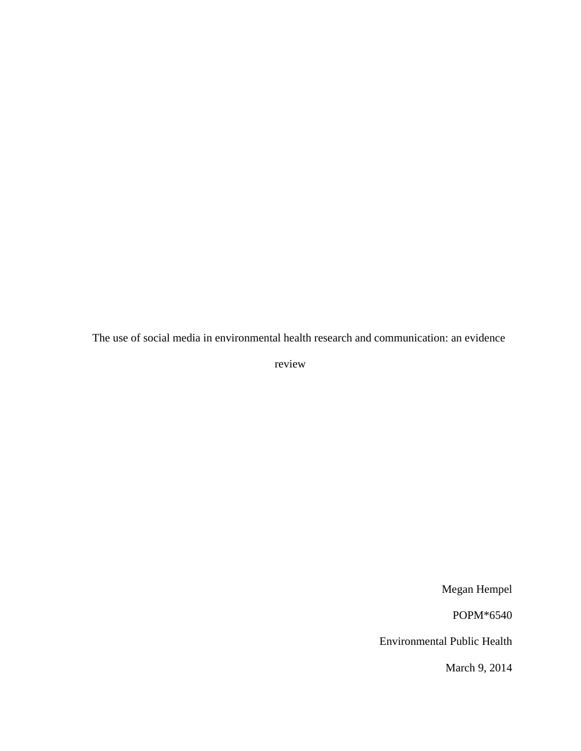The use of social media in environmental health research and communication: an evidence

review

Megan Hempel

POPM\*6540

Environmental Public Health

March 9, 2014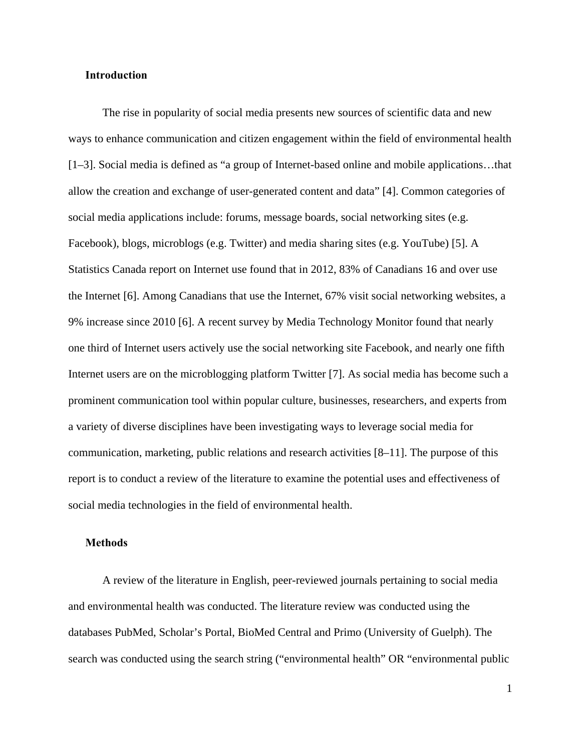#### **Introduction**

The rise in popularity of social media presents new sources of scientific data and new ways to enhance communication and citizen engagement within the field of environmental health [1–3]. Social media is defined as "a group of Internet-based online and mobile applications…that allow the creation and exchange of user-generated content and data" [4]. Common categories of social media applications include: forums, message boards, social networking sites (e.g. Facebook), blogs, microblogs (e.g. Twitter) and media sharing sites (e.g. YouTube) [5]. A Statistics Canada report on Internet use found that in 2012, 83% of Canadians 16 and over use the Internet [6]. Among Canadians that use the Internet, 67% visit social networking websites, a 9% increase since 2010 [6]. A recent survey by Media Technology Monitor found that nearly one third of Internet users actively use the social networking site Facebook, and nearly one fifth Internet users are on the microblogging platform Twitter [7]. As social media has become such a prominent communication tool within popular culture, businesses, researchers, and experts from a variety of diverse disciplines have been investigating ways to leverage social media for communication, marketing, public relations and research activities [8–11]. The purpose of this report is to conduct a review of the literature to examine the potential uses and effectiveness of social media technologies in the field of environmental health.

# **Methods**

 A review of the literature in English, peer-reviewed journals pertaining to social media and environmental health was conducted. The literature review was conducted using the databases PubMed, Scholar's Portal, BioMed Central and Primo (University of Guelph). The search was conducted using the search string ("environmental health" OR "environmental public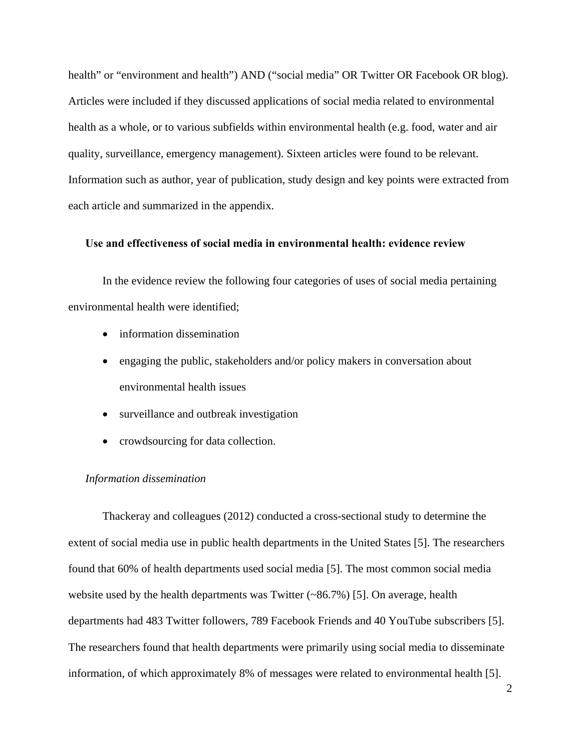health" or "environment and health") AND ("social media" OR Twitter OR Facebook OR blog). Articles were included if they discussed applications of social media related to environmental health as a whole, or to various subfields within environmental health (e.g. food, water and air quality, surveillance, emergency management). Sixteen articles were found to be relevant. Information such as author, year of publication, study design and key points were extracted from each article and summarized in the appendix.

# **Use and effectiveness of social media in environmental health: evidence review**

 In the evidence review the following four categories of uses of social media pertaining environmental health were identified;

- information dissemination
- engaging the public, stakeholders and/or policy makers in conversation about environmental health issues
- surveillance and outbreak investigation
- crowdsourcing for data collection.

### *Information dissemination*

Thackeray and colleagues (2012) conducted a cross-sectional study to determine the extent of social media use in public health departments in the United States [5]. The researchers found that 60% of health departments used social media [5]. The most common social media website used by the health departments was Twitter (~86.7%) [5]. On average, health departments had 483 Twitter followers, 789 Facebook Friends and 40 YouTube subscribers [5]. The researchers found that health departments were primarily using social media to disseminate information, of which approximately 8% of messages were related to environmental health [5].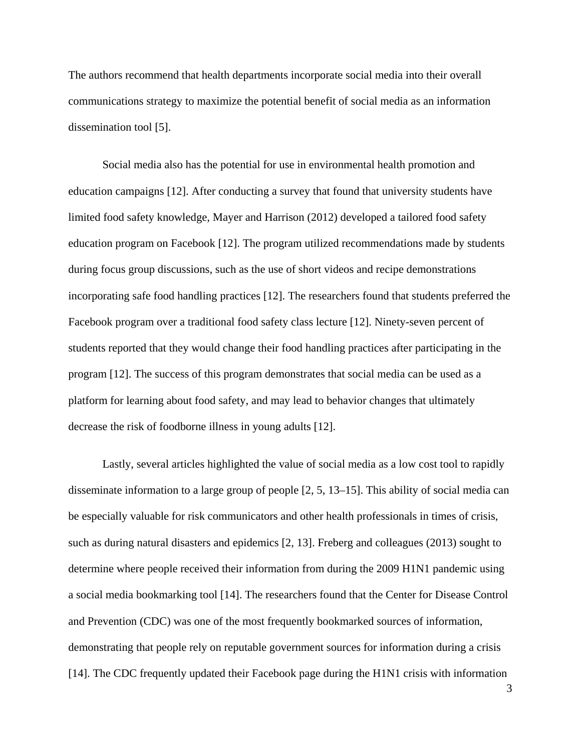The authors recommend that health departments incorporate social media into their overall communications strategy to maximize the potential benefit of social media as an information dissemination tool [5].

 Social media also has the potential for use in environmental health promotion and education campaigns [12]. After conducting a survey that found that university students have limited food safety knowledge, Mayer and Harrison (2012) developed a tailored food safety education program on Facebook [12]. The program utilized recommendations made by students during focus group discussions, such as the use of short videos and recipe demonstrations incorporating safe food handling practices [12]. The researchers found that students preferred the Facebook program over a traditional food safety class lecture [12]. Ninety-seven percent of students reported that they would change their food handling practices after participating in the program [12]. The success of this program demonstrates that social media can be used as a platform for learning about food safety, and may lead to behavior changes that ultimately decrease the risk of foodborne illness in young adults [12].

 Lastly, several articles highlighted the value of social media as a low cost tool to rapidly disseminate information to a large group of people [2, 5, 13–15]. This ability of social media can be especially valuable for risk communicators and other health professionals in times of crisis, such as during natural disasters and epidemics [2, 13]. Freberg and colleagues (2013) sought to determine where people received their information from during the 2009 H1N1 pandemic using a social media bookmarking tool [14]. The researchers found that the Center for Disease Control and Prevention (CDC) was one of the most frequently bookmarked sources of information, demonstrating that people rely on reputable government sources for information during a crisis [14]. The CDC frequently updated their Facebook page during the H1N1 crisis with information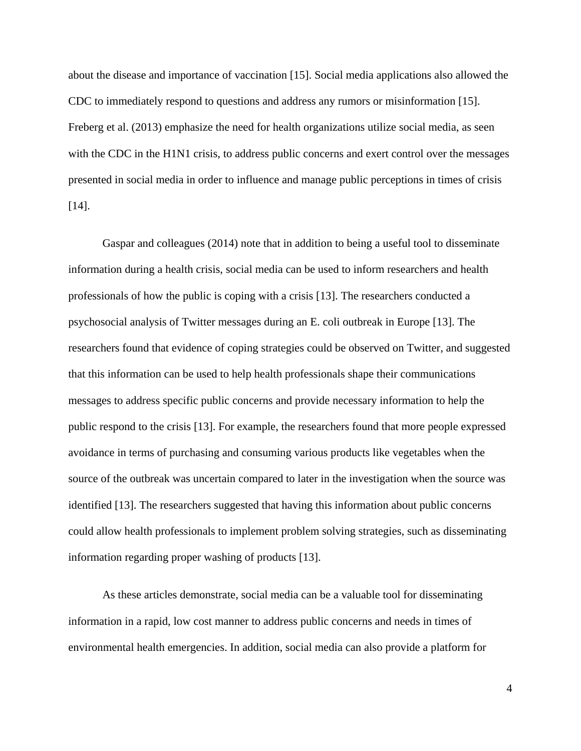about the disease and importance of vaccination [15]. Social media applications also allowed the CDC to immediately respond to questions and address any rumors or misinformation [15]. Freberg et al. (2013) emphasize the need for health organizations utilize social media, as seen with the CDC in the H1N1 crisis, to address public concerns and exert control over the messages presented in social media in order to influence and manage public perceptions in times of crisis [14].

 Gaspar and colleagues (2014) note that in addition to being a useful tool to disseminate information during a health crisis, social media can be used to inform researchers and health professionals of how the public is coping with a crisis [13]. The researchers conducted a psychosocial analysis of Twitter messages during an E. coli outbreak in Europe [13]. The researchers found that evidence of coping strategies could be observed on Twitter, and suggested that this information can be used to help health professionals shape their communications messages to address specific public concerns and provide necessary information to help the public respond to the crisis [13]. For example, the researchers found that more people expressed avoidance in terms of purchasing and consuming various products like vegetables when the source of the outbreak was uncertain compared to later in the investigation when the source was identified [13]. The researchers suggested that having this information about public concerns could allow health professionals to implement problem solving strategies, such as disseminating information regarding proper washing of products [13].

 As these articles demonstrate, social media can be a valuable tool for disseminating information in a rapid, low cost manner to address public concerns and needs in times of environmental health emergencies. In addition, social media can also provide a platform for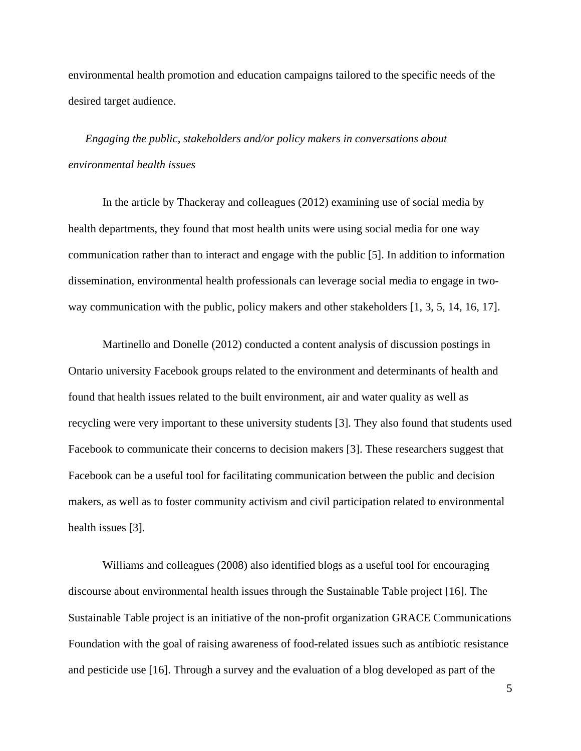environmental health promotion and education campaigns tailored to the specific needs of the desired target audience.

*Engaging the public, stakeholders and/or policy makers in conversations about environmental health issues* 

In the article by Thackeray and colleagues (2012) examining use of social media by health departments, they found that most health units were using social media for one way communication rather than to interact and engage with the public [5]. In addition to information dissemination, environmental health professionals can leverage social media to engage in twoway communication with the public, policy makers and other stakeholders [1, 3, 5, 14, 16, 17].

Martinello and Donelle (2012) conducted a content analysis of discussion postings in Ontario university Facebook groups related to the environment and determinants of health and found that health issues related to the built environment, air and water quality as well as recycling were very important to these university students [3]. They also found that students used Facebook to communicate their concerns to decision makers [3]. These researchers suggest that Facebook can be a useful tool for facilitating communication between the public and decision makers, as well as to foster community activism and civil participation related to environmental health issues [3].

Williams and colleagues (2008) also identified blogs as a useful tool for encouraging discourse about environmental health issues through the Sustainable Table project [16]. The Sustainable Table project is an initiative of the non-profit organization GRACE Communications Foundation with the goal of raising awareness of food-related issues such as antibiotic resistance and pesticide use [16]. Through a survey and the evaluation of a blog developed as part of the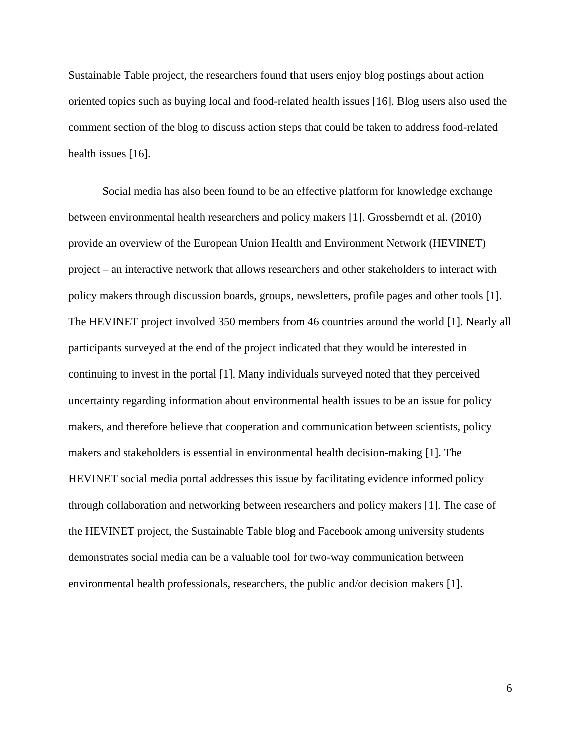Sustainable Table project, the researchers found that users enjoy blog postings about action oriented topics such as buying local and food-related health issues [16]. Blog users also used the comment section of the blog to discuss action steps that could be taken to address food-related health issues [16].

Social media has also been found to be an effective platform for knowledge exchange between environmental health researchers and policy makers [1]. Grossberndt et al. (2010) provide an overview of the European Union Health and Environment Network (HEVINET) project – an interactive network that allows researchers and other stakeholders to interact with policy makers through discussion boards, groups, newsletters, profile pages and other tools [1]. The HEVINET project involved 350 members from 46 countries around the world [1]. Nearly all participants surveyed at the end of the project indicated that they would be interested in continuing to invest in the portal [1]. Many individuals surveyed noted that they perceived uncertainty regarding information about environmental health issues to be an issue for policy makers, and therefore believe that cooperation and communication between scientists, policy makers and stakeholders is essential in environmental health decision-making [1]. The HEVINET social media portal addresses this issue by facilitating evidence informed policy through collaboration and networking between researchers and policy makers [1]. The case of the HEVINET project, the Sustainable Table blog and Facebook among university students demonstrates social media can be a valuable tool for two-way communication between environmental health professionals, researchers, the public and/or decision makers [1].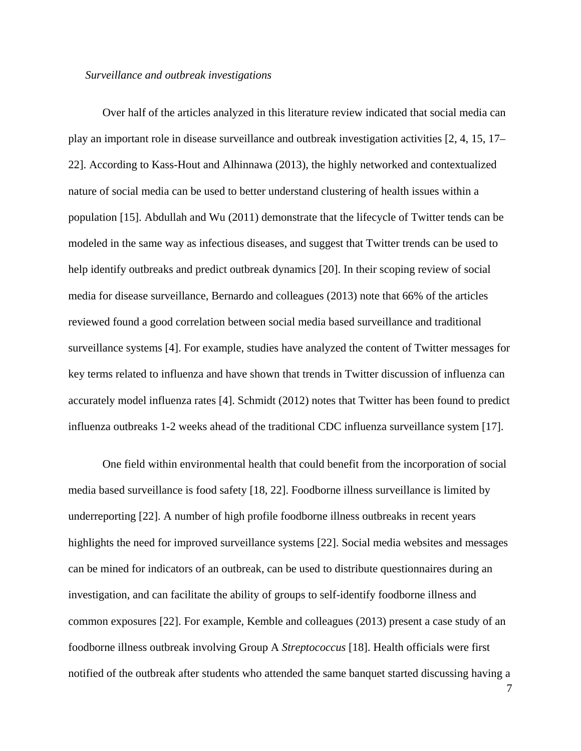#### *Surveillance and outbreak investigations*

 Over half of the articles analyzed in this literature review indicated that social media can play an important role in disease surveillance and outbreak investigation activities [2, 4, 15, 17– 22]. According to Kass-Hout and Alhinnawa (2013), the highly networked and contextualized nature of social media can be used to better understand clustering of health issues within a population [15]. Abdullah and Wu (2011) demonstrate that the lifecycle of Twitter tends can be modeled in the same way as infectious diseases, and suggest that Twitter trends can be used to help identify outbreaks and predict outbreak dynamics [20]. In their scoping review of social media for disease surveillance, Bernardo and colleagues (2013) note that 66% of the articles reviewed found a good correlation between social media based surveillance and traditional surveillance systems [4]. For example, studies have analyzed the content of Twitter messages for key terms related to influenza and have shown that trends in Twitter discussion of influenza can accurately model influenza rates [4]. Schmidt (2012) notes that Twitter has been found to predict influenza outbreaks 1-2 weeks ahead of the traditional CDC influenza surveillance system [17].

 One field within environmental health that could benefit from the incorporation of social media based surveillance is food safety [18, 22]. Foodborne illness surveillance is limited by underreporting [22]. A number of high profile foodborne illness outbreaks in recent years highlights the need for improved surveillance systems [22]. Social media websites and messages can be mined for indicators of an outbreak, can be used to distribute questionnaires during an investigation, and can facilitate the ability of groups to self-identify foodborne illness and common exposures [22]. For example, Kemble and colleagues (2013) present a case study of an foodborne illness outbreak involving Group A *Streptococcus* [18]. Health officials were first notified of the outbreak after students who attended the same banquet started discussing having a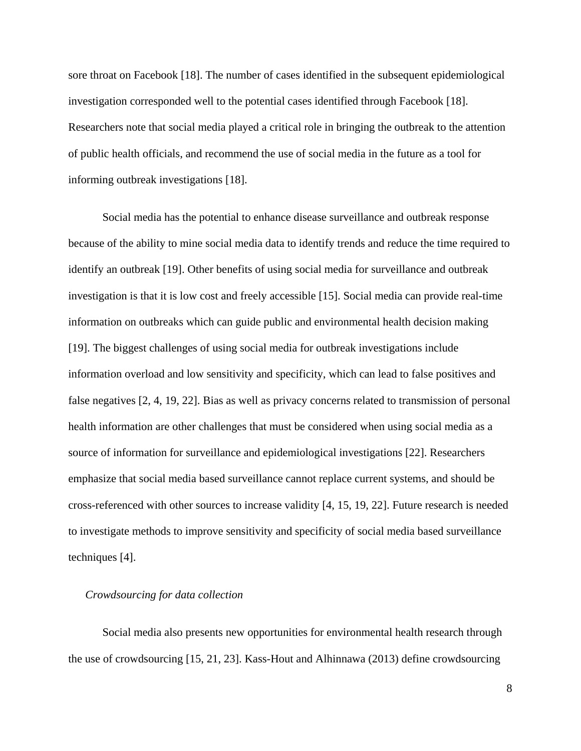sore throat on Facebook [18]. The number of cases identified in the subsequent epidemiological investigation corresponded well to the potential cases identified through Facebook [18]. Researchers note that social media played a critical role in bringing the outbreak to the attention of public health officials, and recommend the use of social media in the future as a tool for informing outbreak investigations [18].

 Social media has the potential to enhance disease surveillance and outbreak response because of the ability to mine social media data to identify trends and reduce the time required to identify an outbreak [19]. Other benefits of using social media for surveillance and outbreak investigation is that it is low cost and freely accessible [15]. Social media can provide real-time information on outbreaks which can guide public and environmental health decision making [19]. The biggest challenges of using social media for outbreak investigations include information overload and low sensitivity and specificity, which can lead to false positives and false negatives [2, 4, 19, 22]. Bias as well as privacy concerns related to transmission of personal health information are other challenges that must be considered when using social media as a source of information for surveillance and epidemiological investigations [22]. Researchers emphasize that social media based surveillance cannot replace current systems, and should be cross-referenced with other sources to increase validity [4, 15, 19, 22]. Future research is needed to investigate methods to improve sensitivity and specificity of social media based surveillance techniques [4].

#### *Crowdsourcing for data collection*

 Social media also presents new opportunities for environmental health research through the use of crowdsourcing [15, 21, 23]. Kass-Hout and Alhinnawa (2013) define crowdsourcing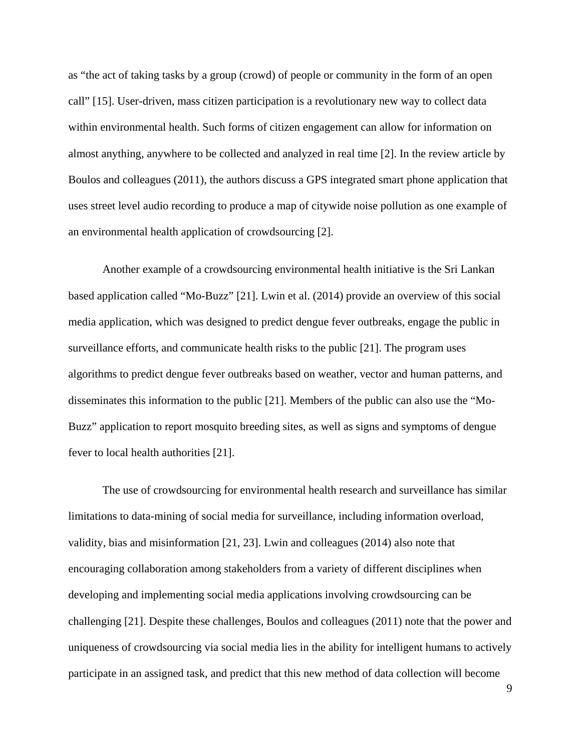as "the act of taking tasks by a group (crowd) of people or community in the form of an open call" [15]. User-driven, mass citizen participation is a revolutionary new way to collect data within environmental health. Such forms of citizen engagement can allow for information on almost anything, anywhere to be collected and analyzed in real time [2]. In the review article by Boulos and colleagues (2011), the authors discuss a GPS integrated smart phone application that uses street level audio recording to produce a map of citywide noise pollution as one example of an environmental health application of crowdsourcing [2].

 Another example of a crowdsourcing environmental health initiative is the Sri Lankan based application called "Mo-Buzz" [21]. Lwin et al. (2014) provide an overview of this social media application, which was designed to predict dengue fever outbreaks, engage the public in surveillance efforts, and communicate health risks to the public [21]. The program uses algorithms to predict dengue fever outbreaks based on weather, vector and human patterns, and disseminates this information to the public [21]. Members of the public can also use the "Mo-Buzz" application to report mosquito breeding sites, as well as signs and symptoms of dengue fever to local health authorities [21].

 The use of crowdsourcing for environmental health research and surveillance has similar limitations to data-mining of social media for surveillance, including information overload, validity, bias and misinformation [21, 23]. Lwin and colleagues (2014) also note that encouraging collaboration among stakeholders from a variety of different disciplines when developing and implementing social media applications involving crowdsourcing can be challenging [21]. Despite these challenges, Boulos and colleagues (2011) note that the power and uniqueness of crowdsourcing via social media lies in the ability for intelligent humans to actively participate in an assigned task, and predict that this new method of data collection will become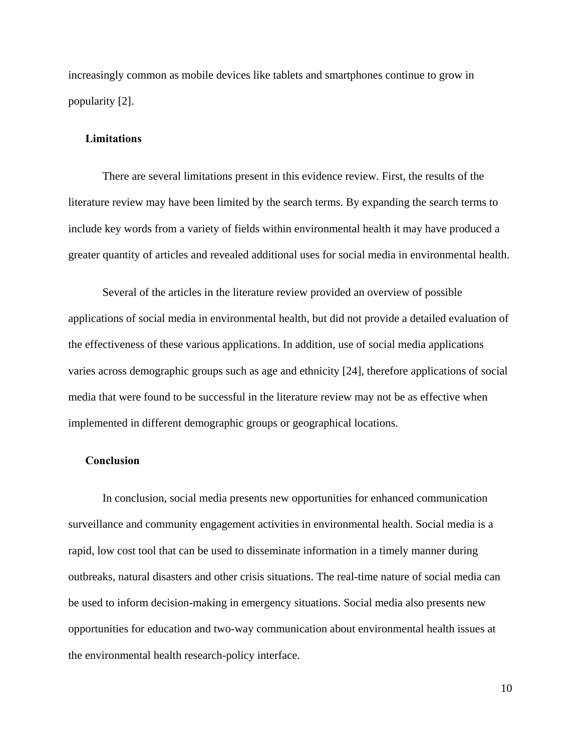increasingly common as mobile devices like tablets and smartphones continue to grow in popularity [2].

#### **Limitations**

 There are several limitations present in this evidence review. First, the results of the literature review may have been limited by the search terms. By expanding the search terms to include key words from a variety of fields within environmental health it may have produced a greater quantity of articles and revealed additional uses for social media in environmental health.

Several of the articles in the literature review provided an overview of possible applications of social media in environmental health, but did not provide a detailed evaluation of the effectiveness of these various applications. In addition, use of social media applications varies across demographic groups such as age and ethnicity [24], therefore applications of social media that were found to be successful in the literature review may not be as effective when implemented in different demographic groups or geographical locations.

# **Conclusion**

 In conclusion, social media presents new opportunities for enhanced communication surveillance and community engagement activities in environmental health. Social media is a rapid, low cost tool that can be used to disseminate information in a timely manner during outbreaks, natural disasters and other crisis situations. The real-time nature of social media can be used to inform decision-making in emergency situations. Social media also presents new opportunities for education and two-way communication about environmental health issues at the environmental health research-policy interface.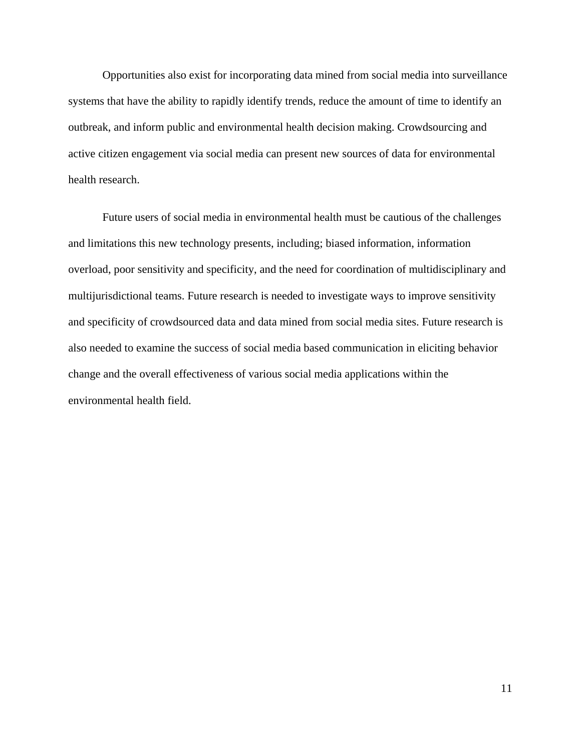Opportunities also exist for incorporating data mined from social media into surveillance systems that have the ability to rapidly identify trends, reduce the amount of time to identify an outbreak, and inform public and environmental health decision making. Crowdsourcing and active citizen engagement via social media can present new sources of data for environmental health research.

 Future users of social media in environmental health must be cautious of the challenges and limitations this new technology presents, including; biased information, information overload, poor sensitivity and specificity, and the need for coordination of multidisciplinary and multijurisdictional teams. Future research is needed to investigate ways to improve sensitivity and specificity of crowdsourced data and data mined from social media sites. Future research is also needed to examine the success of social media based communication in eliciting behavior change and the overall effectiveness of various social media applications within the environmental health field.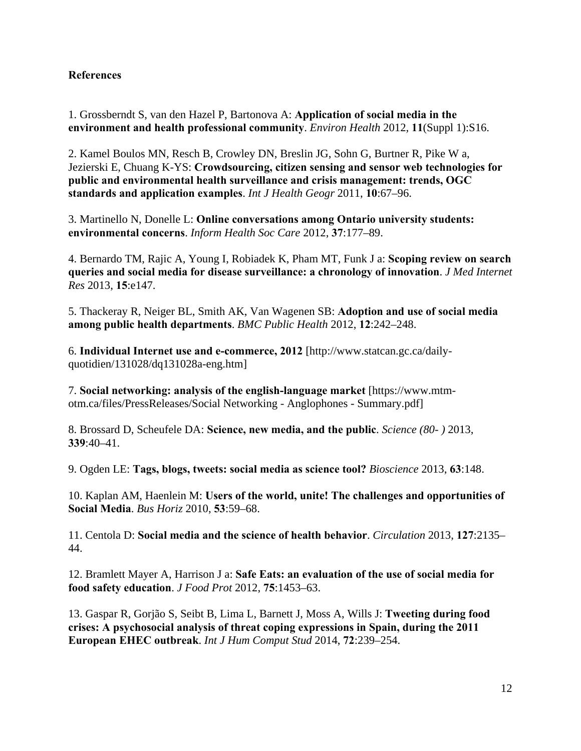# **References**

1. Grossberndt S, van den Hazel P, Bartonova A: **Application of social media in the environment and health professional community**. *Environ Health* 2012, **11**(Suppl 1):S16.

2. Kamel Boulos MN, Resch B, Crowley DN, Breslin JG, Sohn G, Burtner R, Pike W a, Jezierski E, Chuang K-YS: **Crowdsourcing, citizen sensing and sensor web technologies for public and environmental health surveillance and crisis management: trends, OGC standards and application examples**. *Int J Health Geogr* 2011, **10**:67–96.

3. Martinello N, Donelle L: **Online conversations among Ontario university students: environmental concerns**. *Inform Health Soc Care* 2012, **37**:177–89.

4. Bernardo TM, Rajic A, Young I, Robiadek K, Pham MT, Funk J a: **Scoping review on search queries and social media for disease surveillance: a chronology of innovation**. *J Med Internet Res* 2013, **15**:e147.

5. Thackeray R, Neiger BL, Smith AK, Van Wagenen SB: **Adoption and use of social media among public health departments**. *BMC Public Health* 2012, **12**:242–248.

6. **Individual Internet use and e-commerce, 2012** [http://www.statcan.gc.ca/dailyquotidien/131028/dq131028a-eng.htm]

7. **Social networking: analysis of the english-language market** [https://www.mtmotm.ca/files/PressReleases/Social Networking - Anglophones - Summary.pdf]

8. Brossard D, Scheufele DA: **Science, new media, and the public**. *Science (80- )* 2013, **339**:40–41.

9. Ogden LE: **Tags, blogs, tweets: social media as science tool?** *Bioscience* 2013, **63**:148.

10. Kaplan AM, Haenlein M: **Users of the world, unite! The challenges and opportunities of Social Media**. *Bus Horiz* 2010, **53**:59–68.

11. Centola D: **Social media and the science of health behavior**. *Circulation* 2013, **127**:2135– 44.

12. Bramlett Mayer A, Harrison J a: **Safe Eats: an evaluation of the use of social media for food safety education**. *J Food Prot* 2012, **75**:1453–63.

13. Gaspar R, Gorjão S, Seibt B, Lima L, Barnett J, Moss A, Wills J: **Tweeting during food crises: A psychosocial analysis of threat coping expressions in Spain, during the 2011 European EHEC outbreak**. *Int J Hum Comput Stud* 2014, **72**:239–254.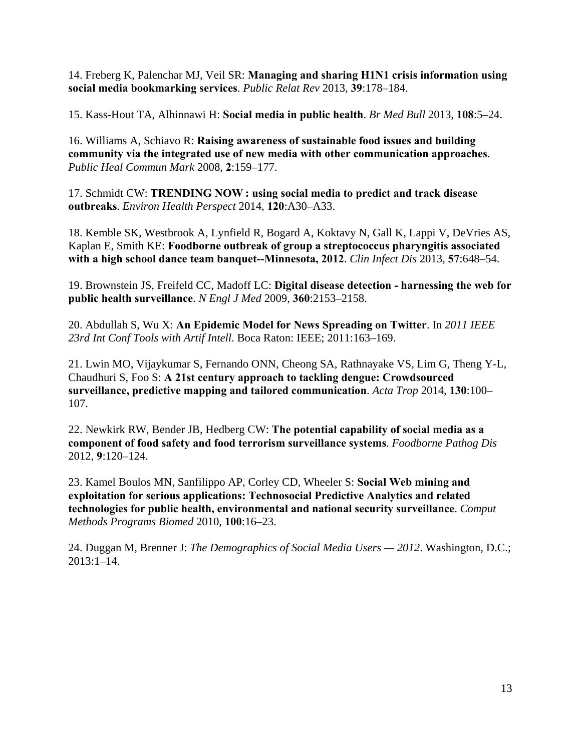14. Freberg K, Palenchar MJ, Veil SR: **Managing and sharing H1N1 crisis information using social media bookmarking services**. *Public Relat Rev* 2013, **39**:178–184.

15. Kass-Hout TA, Alhinnawi H: **Social media in public health**. *Br Med Bull* 2013, **108**:5–24.

16. Williams A, Schiavo R: **Raising awareness of sustainable food issues and building community via the integrated use of new media with other communication approaches**. *Public Heal Commun Mark* 2008, **2**:159–177.

17. Schmidt CW: **TRENDING NOW : using social media to predict and track disease outbreaks**. *Environ Health Perspect* 2014, **120**:A30–A33.

18. Kemble SK, Westbrook A, Lynfield R, Bogard A, Koktavy N, Gall K, Lappi V, DeVries AS, Kaplan E, Smith KE: **Foodborne outbreak of group a streptococcus pharyngitis associated with a high school dance team banquet--Minnesota, 2012**. *Clin Infect Dis* 2013, **57**:648–54.

19. Brownstein JS, Freifeld CC, Madoff LC: **Digital disease detection - harnessing the web for public health surveillance**. *N Engl J Med* 2009, **360**:2153–2158.

20. Abdullah S, Wu X: **An Epidemic Model for News Spreading on Twitter**. In *2011 IEEE 23rd Int Conf Tools with Artif Intell*. Boca Raton: IEEE; 2011:163–169.

21. Lwin MO, Vijaykumar S, Fernando ONN, Cheong SA, Rathnayake VS, Lim G, Theng Y-L, Chaudhuri S, Foo S: **A 21st century approach to tackling dengue: Crowdsourced surveillance, predictive mapping and tailored communication**. *Acta Trop* 2014, **130**:100– 107.

22. Newkirk RW, Bender JB, Hedberg CW: **The potential capability of social media as a component of food safety and food terrorism surveillance systems**. *Foodborne Pathog Dis* 2012, **9**:120–124.

23. Kamel Boulos MN, Sanfilippo AP, Corley CD, Wheeler S: **Social Web mining and exploitation for serious applications: Technosocial Predictive Analytics and related technologies for public health, environmental and national security surveillance**. *Comput Methods Programs Biomed* 2010, **100**:16–23.

24. Duggan M, Brenner J: *The Demographics of Social Media Users — 2012*. Washington, D.C.; 2013:1–14.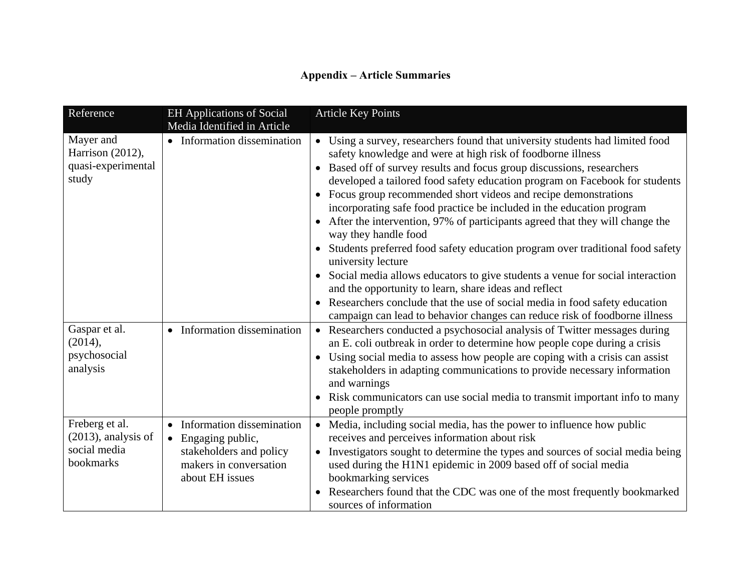# **Appendix – Article Summaries**

| Reference                                                             | <b>EH Applications of Social</b><br>Media Identified in Article                                                           | <b>Article Key Points</b>                                                                                                                                                                                                                                                                                                                                                                                                                                                                                                                                                                                                                                                                                                                                                                                                                                                                                                                                           |
|-----------------------------------------------------------------------|---------------------------------------------------------------------------------------------------------------------------|---------------------------------------------------------------------------------------------------------------------------------------------------------------------------------------------------------------------------------------------------------------------------------------------------------------------------------------------------------------------------------------------------------------------------------------------------------------------------------------------------------------------------------------------------------------------------------------------------------------------------------------------------------------------------------------------------------------------------------------------------------------------------------------------------------------------------------------------------------------------------------------------------------------------------------------------------------------------|
| Mayer and<br>Harrison (2012),<br>quasi-experimental<br>study          | • Information dissemination                                                                                               | • Using a survey, researchers found that university students had limited food<br>safety knowledge and were at high risk of foodborne illness<br>Based off of survey results and focus group discussions, researchers<br>developed a tailored food safety education program on Facebook for students<br>Focus group recommended short videos and recipe demonstrations<br>incorporating safe food practice be included in the education program<br>After the intervention, 97% of participants agreed that they will change the<br>way they handle food<br>Students preferred food safety education program over traditional food safety<br>university lecture<br>Social media allows educators to give students a venue for social interaction<br>and the opportunity to learn, share ideas and reflect<br>Researchers conclude that the use of social media in food safety education<br>campaign can lead to behavior changes can reduce risk of foodborne illness |
| Gaspar et al.<br>(2014),<br>psychosocial<br>analysis                  | • Information dissemination                                                                                               | Researchers conducted a psychosocial analysis of Twitter messages during<br>$\bullet$<br>an E. coli outbreak in order to determine how people cope during a crisis<br>Using social media to assess how people are coping with a crisis can assist<br>stakeholders in adapting communications to provide necessary information<br>and warnings<br>Risk communicators can use social media to transmit important info to many<br>people promptly                                                                                                                                                                                                                                                                                                                                                                                                                                                                                                                      |
| Freberg et al.<br>$(2013)$ , analysis of<br>social media<br>bookmarks | • Information dissemination<br>• Engaging public,<br>stakeholders and policy<br>makers in conversation<br>about EH issues | Media, including social media, has the power to influence how public<br>$\bullet$<br>receives and perceives information about risk<br>Investigators sought to determine the types and sources of social media being<br>used during the H1N1 epidemic in 2009 based off of social media<br>bookmarking services<br>Researchers found that the CDC was one of the most frequently bookmarked<br>sources of information                                                                                                                                                                                                                                                                                                                                                                                                                                                                                                                                                |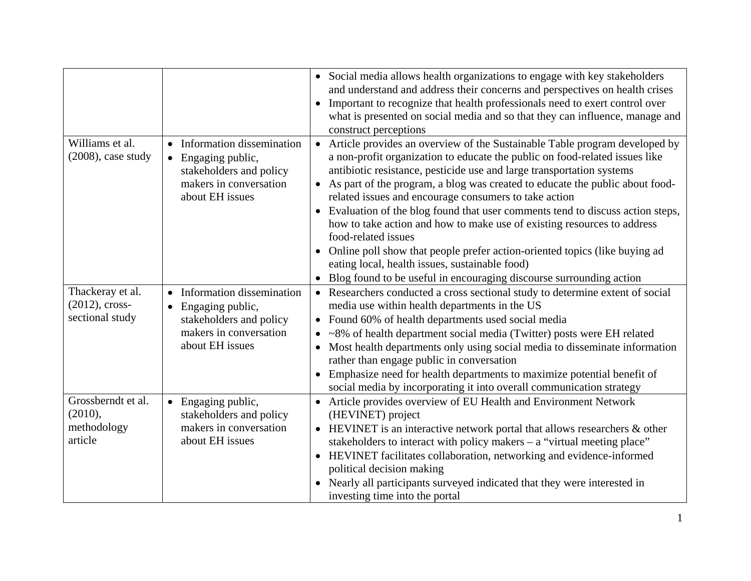|                                                          |                                                                                                                                      | • Social media allows health organizations to engage with key stakeholders<br>and understand and address their concerns and perspectives on health crises<br>Important to recognize that health professionals need to exert control over<br>$\bullet$<br>what is presented on social media and so that they can influence, manage and<br>construct perceptions                                                                                                                                                                                                                                                                                                                                                                                                                                    |
|----------------------------------------------------------|--------------------------------------------------------------------------------------------------------------------------------------|---------------------------------------------------------------------------------------------------------------------------------------------------------------------------------------------------------------------------------------------------------------------------------------------------------------------------------------------------------------------------------------------------------------------------------------------------------------------------------------------------------------------------------------------------------------------------------------------------------------------------------------------------------------------------------------------------------------------------------------------------------------------------------------------------|
| Williams et al.<br>$(2008)$ , case study                 | Information dissemination<br>$\bullet$ Engaging public,<br>stakeholders and policy<br>makers in conversation<br>about EH issues      | Article provides an overview of the Sustainable Table program developed by<br>$\bullet$<br>a non-profit organization to educate the public on food-related issues like<br>antibiotic resistance, pesticide use and large transportation systems<br>• As part of the program, a blog was created to educate the public about food-<br>related issues and encourage consumers to take action<br>Evaluation of the blog found that user comments tend to discuss action steps,<br>how to take action and how to make use of existing resources to address<br>food-related issues<br>Online poll show that people prefer action-oriented topics (like buying ad<br>$\bullet$<br>eating local, health issues, sustainable food)<br>Blog found to be useful in encouraging discourse surrounding action |
| Thackeray et al.<br>$(2012)$ , cross-<br>sectional study | • Information dissemination<br>Engaging public,<br>$\bullet$<br>stakeholders and policy<br>makers in conversation<br>about EH issues | • Researchers conducted a cross sectional study to determine extent of social<br>media use within health departments in the US<br>• Found 60% of health departments used social media<br>• ~8% of health department social media (Twitter) posts were EH related<br>Most health departments only using social media to disseminate information<br>rather than engage public in conversation<br>Emphasize need for health departments to maximize potential benefit of<br>social media by incorporating it into overall communication strategy                                                                                                                                                                                                                                                     |
| Grossberndt et al.<br>(2010),<br>methodology<br>article  | • Engaging public,<br>stakeholders and policy<br>makers in conversation<br>about EH issues                                           | • Article provides overview of EU Health and Environment Network<br>(HEVINET) project<br>• HEVINET is an interactive network portal that allows researchers & other<br>stakeholders to interact with policy makers $-$ a "virtual meeting place"<br>HEVINET facilitates collaboration, networking and evidence-informed<br>political decision making<br>Nearly all participants surveyed indicated that they were interested in<br>$\bullet$<br>investing time into the portal                                                                                                                                                                                                                                                                                                                    |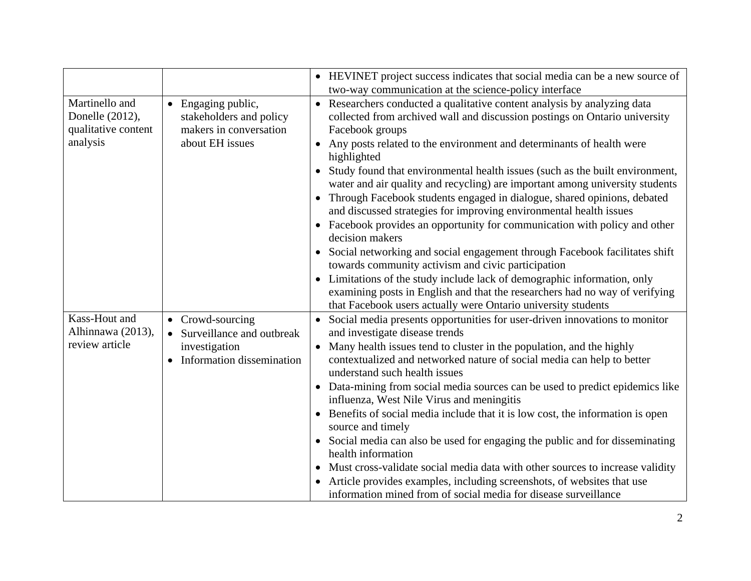|                                                                      |                                                                                                 | HEVINET project success indicates that social media can be a new source of<br>two-way communication at the science-policy interface                                                                                                                                                                                                                                                                                                                                                                                                                                                                                                                                                                                                                                                                                                                                                                                                                                                                                                                                      |
|----------------------------------------------------------------------|-------------------------------------------------------------------------------------------------|--------------------------------------------------------------------------------------------------------------------------------------------------------------------------------------------------------------------------------------------------------------------------------------------------------------------------------------------------------------------------------------------------------------------------------------------------------------------------------------------------------------------------------------------------------------------------------------------------------------------------------------------------------------------------------------------------------------------------------------------------------------------------------------------------------------------------------------------------------------------------------------------------------------------------------------------------------------------------------------------------------------------------------------------------------------------------|
| Martinello and<br>Donelle (2012),<br>qualitative content<br>analysis | • Engaging public,<br>stakeholders and policy<br>makers in conversation<br>about EH issues      | • Researchers conducted a qualitative content analysis by analyzing data<br>collected from archived wall and discussion postings on Ontario university<br>Facebook groups<br>Any posts related to the environment and determinants of health were<br>highlighted<br>Study found that environmental health issues (such as the built environment,<br>water and air quality and recycling) are important among university students<br>Through Facebook students engaged in dialogue, shared opinions, debated<br>and discussed strategies for improving environmental health issues<br>Facebook provides an opportunity for communication with policy and other<br>$\bullet$<br>decision makers<br>Social networking and social engagement through Facebook facilitates shift<br>towards community activism and civic participation<br>Limitations of the study include lack of demographic information, only<br>$\bullet$<br>examining posts in English and that the researchers had no way of verifying<br>that Facebook users actually were Ontario university students |
| Kass-Hout and<br>Alhinnawa (2013),<br>review article                 | • Crowd-sourcing<br>• Surveillance and outbreak<br>investigation<br>• Information dissemination | Social media presents opportunities for user-driven innovations to monitor<br>$\bullet$<br>and investigate disease trends<br>Many health issues tend to cluster in the population, and the highly<br>contextualized and networked nature of social media can help to better<br>understand such health issues<br>• Data-mining from social media sources can be used to predict epidemics like<br>influenza, West Nile Virus and meningitis<br>Benefits of social media include that it is low cost, the information is open<br>source and timely<br>Social media can also be used for engaging the public and for disseminating<br>health information<br>Must cross-validate social media data with other sources to increase validity<br>Article provides examples, including screenshots, of websites that use<br>information mined from of social media for disease surveillance                                                                                                                                                                                      |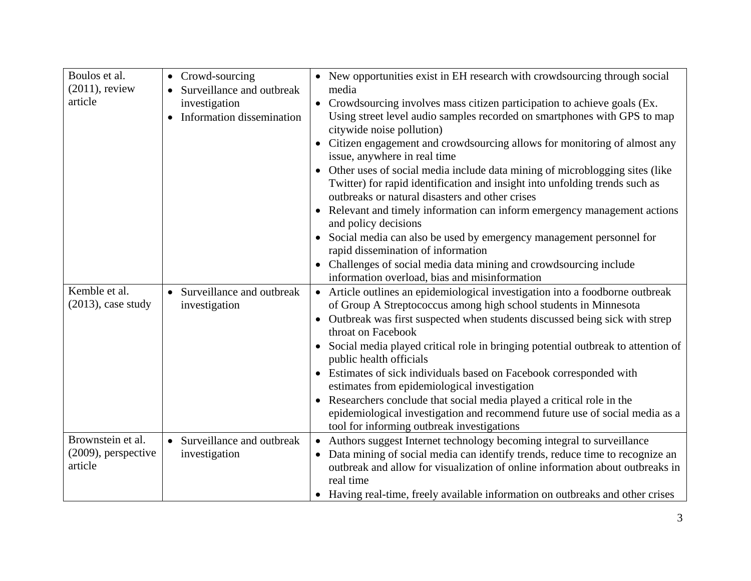| Boulos et al.<br>$(2011)$ , review<br>article          | • Crowd-sourcing<br>Surveillance and outbreak<br>investigation<br>Information dissemination | • New opportunities exist in EH research with crowdsourcing through social<br>media<br>• Crowdsourcing involves mass citizen participation to achieve goals (Ex.<br>Using street level audio samples recorded on smartphones with GPS to map<br>citywide noise pollution)<br>Citizen engagement and crowdsourcing allows for monitoring of almost any<br>issue, anywhere in real time<br>• Other uses of social media include data mining of microblogging sites (like<br>Twitter) for rapid identification and insight into unfolding trends such as |
|--------------------------------------------------------|---------------------------------------------------------------------------------------------|-------------------------------------------------------------------------------------------------------------------------------------------------------------------------------------------------------------------------------------------------------------------------------------------------------------------------------------------------------------------------------------------------------------------------------------------------------------------------------------------------------------------------------------------------------|
|                                                        |                                                                                             | outbreaks or natural disasters and other crises<br>Relevant and timely information can inform emergency management actions<br>and policy decisions                                                                                                                                                                                                                                                                                                                                                                                                    |
|                                                        |                                                                                             | Social media can also be used by emergency management personnel for<br>$\bullet$<br>rapid dissemination of information                                                                                                                                                                                                                                                                                                                                                                                                                                |
|                                                        |                                                                                             | Challenges of social media data mining and crowdsourcing include<br>information overload, bias and misinformation                                                                                                                                                                                                                                                                                                                                                                                                                                     |
| Kemble et al.<br>$(2013)$ , case study                 | • Surveillance and outbreak<br>investigation                                                | • Article outlines an epidemiological investigation into a foodborne outbreak<br>of Group A Streptococcus among high school students in Minnesota<br>• Outbreak was first suspected when students discussed being sick with strep<br>throat on Facebook                                                                                                                                                                                                                                                                                               |
|                                                        |                                                                                             | Social media played critical role in bringing potential outbreak to attention of<br>$\bullet$<br>public health officials                                                                                                                                                                                                                                                                                                                                                                                                                              |
|                                                        |                                                                                             | Estimates of sick individuals based on Facebook corresponded with<br>estimates from epidemiological investigation                                                                                                                                                                                                                                                                                                                                                                                                                                     |
|                                                        |                                                                                             | Researchers conclude that social media played a critical role in the<br>$\bullet$<br>epidemiological investigation and recommend future use of social media as a<br>tool for informing outbreak investigations                                                                                                                                                                                                                                                                                                                                        |
| Brownstein et al.<br>$(2009)$ , perspective<br>article | • Surveillance and outbreak<br>investigation                                                | • Authors suggest Internet technology becoming integral to surveillance<br>Data mining of social media can identify trends, reduce time to recognize an<br>outbreak and allow for visualization of online information about outbreaks in<br>real time<br>• Having real-time, freely available information on outbreaks and other crises                                                                                                                                                                                                               |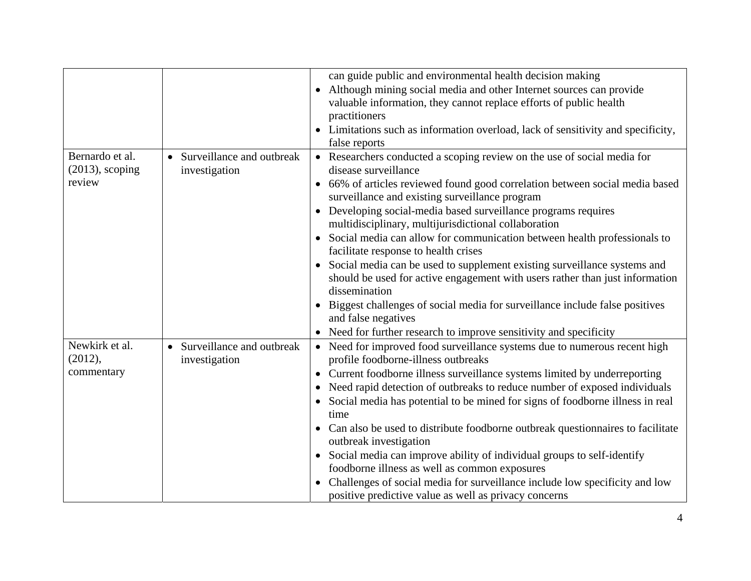|                    |                             | can guide public and environmental health decision making                                  |
|--------------------|-----------------------------|--------------------------------------------------------------------------------------------|
|                    |                             |                                                                                            |
|                    |                             | Although mining social media and other Internet sources can provide<br>$\bullet$           |
|                    |                             | valuable information, they cannot replace efforts of public health                         |
|                    |                             | practitioners                                                                              |
|                    |                             | Limitations such as information overload, lack of sensitivity and specificity,             |
|                    |                             | false reports                                                                              |
| Bernardo et al.    | • Surveillance and outbreak | Researchers conducted a scoping review on the use of social media for                      |
| $(2013)$ , scoping | investigation               | disease surveillance                                                                       |
| review             |                             | 66% of articles reviewed found good correlation between social media based                 |
|                    |                             | surveillance and existing surveillance program                                             |
|                    |                             | Developing social-media based surveillance programs requires                               |
|                    |                             | multidisciplinary, multijurisdictional collaboration                                       |
|                    |                             | Social media can allow for communication between health professionals to<br>$\bullet$      |
|                    |                             | facilitate response to health crises                                                       |
|                    |                             | Social media can be used to supplement existing surveillance systems and                   |
|                    |                             | should be used for active engagement with users rather than just information               |
|                    |                             | dissemination                                                                              |
|                    |                             | Biggest challenges of social media for surveillance include false positives                |
|                    |                             | and false negatives                                                                        |
|                    |                             | Need for further research to improve sensitivity and specificity                           |
| Newkirk et al.     | • Surveillance and outbreak | Need for improved food surveillance systems due to numerous recent high<br>$\bullet$       |
| (2012),            | investigation               | profile foodborne-illness outbreaks                                                        |
| commentary         |                             | Current foodborne illness surveillance systems limited by underreporting<br>$\bullet$      |
|                    |                             | Need rapid detection of outbreaks to reduce number of exposed individuals                  |
|                    |                             | Social media has potential to be mined for signs of foodborne illness in real<br>$\bullet$ |
|                    |                             | time                                                                                       |
|                    |                             | Can also be used to distribute foodborne outbreak questionnaires to facilitate             |
|                    |                             | outbreak investigation                                                                     |
|                    |                             | Social media can improve ability of individual groups to self-identify                     |
|                    |                             | foodborne illness as well as common exposures                                              |
|                    |                             | Challenges of social media for surveillance include low specificity and low<br>$\bullet$   |
|                    |                             | positive predictive value as well as privacy concerns                                      |